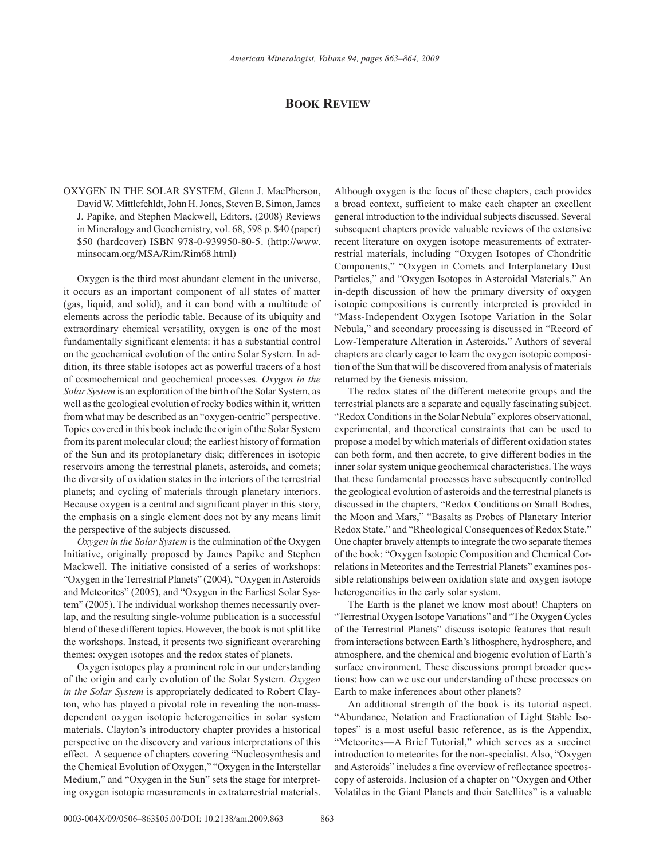## **Book Review**

OXYGEN IN THE SOLAR SYSTEM, Glenn J. MacPherson, David W. Mittlefehldt, John H. Jones, Steven B. Simon, James J. Papike, and Stephen Mackwell, Editors. (2008) Reviews in Mineralogy and Geochemistry, vol. 68, 598 p. \$40 (paper) \$50 (hardcover) ISBN 978-0-939950-80-5. (http://www. minsocam.org/MSA/Rim/Rim68.html)

Oxygen is the third most abundant element in the universe, it occurs as an important component of all states of matter (gas, liquid, and solid), and it can bond with a multitude of elements across the periodic table. Because of its ubiquity and extraordinary chemical versatility, oxygen is one of the most fundamentally significant elements: it has a substantial control on the geochemical evolution of the entire Solar System. In addition, its three stable isotopes act as powerful tracers of a host of cosmochemical and geochemical processes. *Oxygen in the Solar System* is an exploration of the birth of the Solar System, as well as the geological evolution of rocky bodies within it, written from what may be described as an "oxygen-centric" perspective. Topics covered in this book include the origin of the Solar System from its parent molecular cloud; the earliest history of formation of the Sun and its protoplanetary disk; differences in isotopic reservoirs among the terrestrial planets, asteroids, and comets; the diversity of oxidation states in the interiors of the terrestrial planets; and cycling of materials through planetary interiors. Because oxygen is a central and significant player in this story, the emphasis on a single element does not by any means limit the perspective of the subjects discussed.

*Oxygen in the Solar System* is the culmination of the Oxygen Initiative, originally proposed by James Papike and Stephen Mackwell. The initiative consisted of a series of workshops: "Oxygen in the Terrestrial Planets" (2004), "Oxygen in Asteroids and Meteorites" (2005), and "Oxygen in the Earliest Solar System" (2005). The individual workshop themes necessarily overlap, and the resulting single-volume publication is a successful blend of these different topics. However, the book is not split like the workshops. Instead, it presents two significant overarching themes: oxygen isotopes and the redox states of planets.

Oxygen isotopes play a prominent role in our understanding of the origin and early evolution of the Solar System. *Oxygen in the Solar System* is appropriately dedicated to Robert Clayton, who has played a pivotal role in revealing the non-massdependent oxygen isotopic heterogeneities in solar system materials. Clayton's introductory chapter provides a historical perspective on the discovery and various interpretations of this effect. A sequence of chapters covering "Nucleosynthesis and the Chemical Evolution of Oxygen," "Oxygen in the Interstellar Medium," and "Oxygen in the Sun" sets the stage for interpreting oxygen isotopic measurements in extraterrestrial materials.

Although oxygen is the focus of these chapters, each provides a broad context, sufficient to make each chapter an excellent general introduction to the individual subjects discussed. Several subsequent chapters provide valuable reviews of the extensive recent literature on oxygen isotope measurements of extraterrestrial materials, including "Oxygen Isotopes of Chondritic Components," "Oxygen in Comets and Interplanetary Dust Particles," and "Oxygen Isotopes in Asteroidal Materials." An in-depth discussion of how the primary diversity of oxygen isotopic compositions is currently interpreted is provided in "Mass-Independent Oxygen Isotope Variation in the Solar Nebula," and secondary processing is discussed in "Record of Low-Temperature Alteration in Asteroids." Authors of several chapters are clearly eager to learn the oxygen isotopic composition of the Sun that will be discovered from analysis of materials returned by the Genesis mission.

The redox states of the different meteorite groups and the terrestrial planets are a separate and equally fascinating subject. "Redox Conditions in the Solar Nebula" explores observational, experimental, and theoretical constraints that can be used to propose a model by which materials of different oxidation states can both form, and then accrete, to give different bodies in the inner solar system unique geochemical characteristics. The ways that these fundamental processes have subsequently controlled the geological evolution of asteroids and the terrestrial planets is discussed in the chapters, "Redox Conditions on Small Bodies, the Moon and Mars," "Basalts as Probes of Planetary Interior Redox State," and "Rheological Consequences of Redox State." One chapter bravely attempts to integrate the two separate themes of the book: "Oxygen Isotopic Composition and Chemical Correlations in Meteorites and the Terrestrial Planets" examines possible relationships between oxidation state and oxygen isotope heterogeneities in the early solar system.

The Earth is the planet we know most about! Chapters on "Terrestrial Oxygen Isotope Variations" and "The Oxygen Cycles of the Terrestrial Planets" discuss isotopic features that result from interactions between Earth's lithosphere, hydrosphere, and atmosphere, and the chemical and biogenic evolution of Earth's surface environment. These discussions prompt broader questions: how can we use our understanding of these processes on Earth to make inferences about other planets?

An additional strength of the book is its tutorial aspect. "Abundance, Notation and Fractionation of Light Stable Isotopes" is a most useful basic reference, as is the Appendix, "Meteorites—A Brief Tutorial," which serves as a succinct introduction to meteorites for the non-specialist. Also, "Oxygen and Asteroids" includes a fine overview of reflectance spectroscopy of asteroids. Inclusion of a chapter on "Oxygen and Other Volatiles in the Giant Planets and their Satellites" is a valuable